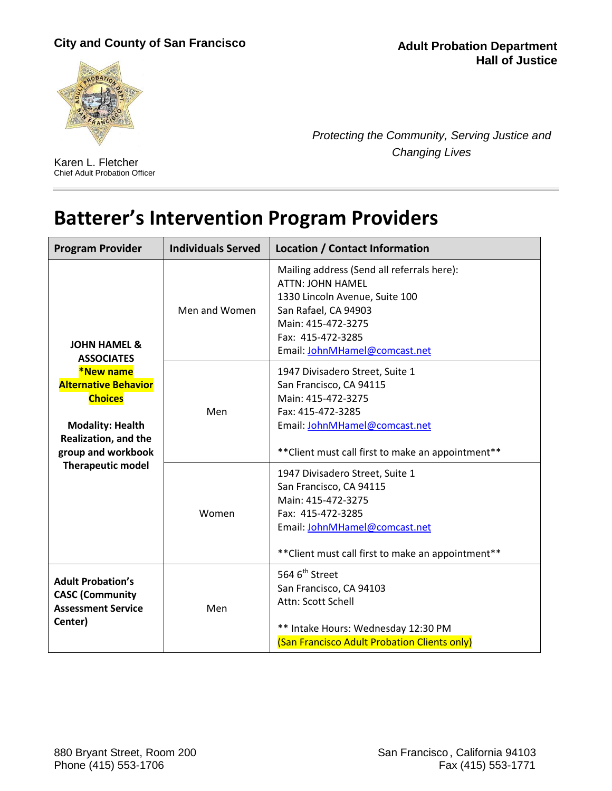## **City and County of San Francisco**





Karen L. Fletcher Chief Adult Probation Officer *Protecting the Community, Serving Justice and Changing Lives*

## **Batterer's Intervention Program Providers**

| <b>Program Provider</b>                                                                                                                                                                                                | <b>Individuals Served</b> | <b>Location / Contact Information</b>                                                                                                                                                                       |
|------------------------------------------------------------------------------------------------------------------------------------------------------------------------------------------------------------------------|---------------------------|-------------------------------------------------------------------------------------------------------------------------------------------------------------------------------------------------------------|
| <b>JOHN HAMEL &amp;</b><br><b>ASSOCIATES</b><br><b>*New name</b><br><b>Alternative Behavior</b><br><b>Choices</b><br><b>Modality: Health</b><br>Realization, and the<br>group and workbook<br><b>Therapeutic model</b> | Men and Women             | Mailing address (Send all referrals here):<br><b>ATTN: JOHN HAMEL</b><br>1330 Lincoln Avenue, Suite 100<br>San Rafael, CA 94903<br>Main: 415-472-3275<br>Fax: 415-472-3285<br>Email: JohnMHamel@comcast.net |
|                                                                                                                                                                                                                        | Men                       | 1947 Divisadero Street, Suite 1<br>San Francisco, CA 94115<br>Main: 415-472-3275<br>Fax: 415-472-3285<br>Email: JohnMHamel@comcast.net<br>** Client must call first to make an appointment**                |
|                                                                                                                                                                                                                        | Women                     | 1947 Divisadero Street, Suite 1<br>San Francisco, CA 94115<br>Main: 415-472-3275<br>Fax: 415-472-3285<br>Email: JohnMHamel@comcast.net<br>** Client must call first to make an appointment**                |
| <b>Adult Probation's</b><br><b>CASC (Community</b><br><b>Assessment Service</b><br>Center)                                                                                                                             | Men                       | 564 6 <sup>th</sup> Street<br>San Francisco, CA 94103<br>Attn: Scott Schell<br>** Intake Hours: Wednesday 12:30 PM<br>(San Francisco Adult Probation Clients only)                                          |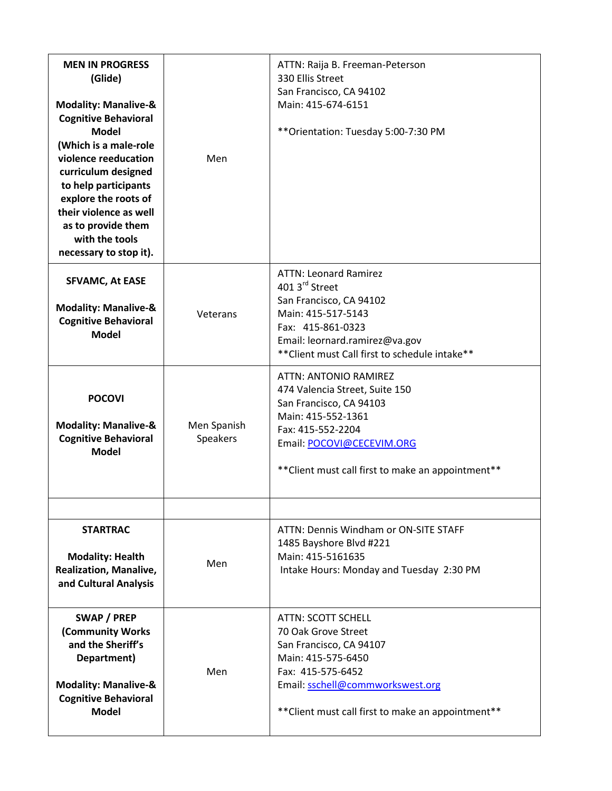| <b>MEN IN PROGRESS</b><br>(Glide)<br><b>Modality: Manalive-&amp;</b><br><b>Cognitive Behavioral</b><br><b>Model</b><br>(Which is a male-role<br>violence reeducation<br>curriculum designed<br>to help participants<br>explore the roots of<br>their violence as well<br>as to provide them<br>with the tools<br>necessary to stop it). | Men                     | ATTN: Raija B. Freeman-Peterson<br>330 Ellis Street<br>San Francisco, CA 94102<br>Main: 415-674-6151<br>** Orientation: Tuesday 5:00-7:30 PM                                                                     |
|-----------------------------------------------------------------------------------------------------------------------------------------------------------------------------------------------------------------------------------------------------------------------------------------------------------------------------------------|-------------------------|------------------------------------------------------------------------------------------------------------------------------------------------------------------------------------------------------------------|
| <b>SFVAMC, At EASE</b><br><b>Modality: Manalive-&amp;</b><br><b>Cognitive Behavioral</b><br><b>Model</b>                                                                                                                                                                                                                                | Veterans                | <b>ATTN: Leonard Ramirez</b><br>401 3rd Street<br>San Francisco, CA 94102<br>Main: 415-517-5143<br>Fax: 415-861-0323<br>Email: leornard.ramirez@va.gov<br>** Client must Call first to schedule intake**         |
| <b>POCOVI</b><br><b>Modality: Manalive-&amp;</b><br><b>Cognitive Behavioral</b><br><b>Model</b>                                                                                                                                                                                                                                         | Men Spanish<br>Speakers | ATTN: ANTONIO RAMIREZ<br>474 Valencia Street, Suite 150<br>San Francisco, CA 94103<br>Main: 415-552-1361<br>Fax: 415-552-2204<br>Email: POCOVI@CECEVIM.ORG<br>** Client must call first to make an appointment** |
|                                                                                                                                                                                                                                                                                                                                         |                         |                                                                                                                                                                                                                  |
| <b>STARTRAC</b><br><b>Modality: Health</b><br><b>Realization, Manalive,</b><br>and Cultural Analysis                                                                                                                                                                                                                                    | Men                     | ATTN: Dennis Windham or ON-SITE STAFF<br>1485 Bayshore Blvd #221<br>Main: 415-5161635<br>Intake Hours: Monday and Tuesday 2:30 PM                                                                                |
| SWAP / PREP<br>(Community Works<br>and the Sheriff's<br>Department)<br><b>Modality: Manalive-&amp;</b><br><b>Cognitive Behavioral</b><br><b>Model</b>                                                                                                                                                                                   | Men                     | <b>ATTN: SCOTT SCHELL</b><br>70 Oak Grove Street<br>San Francisco, CA 94107<br>Main: 415-575-6450<br>Fax: 415-575-6452<br>Email: sschell@commworkswest.org<br>** Client must call first to make an appointment** |